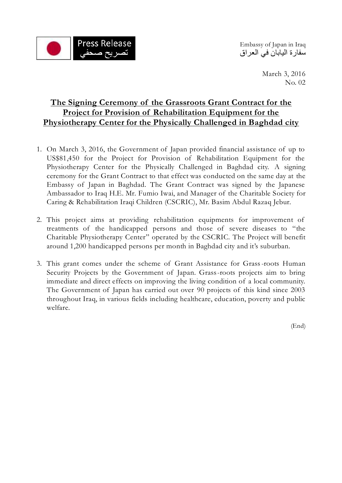

سفارة اليابان في العراق

March 3, 2016 No. 02

# **The Signing Ceremony of the Grassroots Grant Contract for the Project for Provision of Rehabilitation Equipment for the Physiotherapy Center for the Physically Challenged in Baghdad city**

- 1. On March 3, 2016, the Government of Japan provided financial assistance of up to US\$81,450 for the Project for Provision of Rehabilitation Equipment for the Physiotherapy Center for the Physically Challenged in Baghdad city. A signing ceremony for the Grant Contract to that effect was conducted on the same day at the Embassy of Japan in Baghdad. The Grant Contract was signed by the Japanese Ambassador to Iraq H.E. Mr. Fumio Iwai, and Manager of the Charitable Society for Caring & Rehabilitation Iraqi Children (CSCRIC), Mr. Basim Abdul Razaq Jebur.
- 2. This project aims at providing rehabilitation equipments for improvement of treatments of the handicapped persons and those of severe diseases to "the Charitable Physiotherapy Center" operated by the CSCRIC. The Project will benefit around 1,200 handicapped persons per month in Baghdad city and it's suburban.
- 3. This grant comes under the scheme of Grant Assistance for Grass-roots Human Security Projects by the Government of Japan. Grass-roots projects aim to bring immediate and direct effects on improving the living condition of a local community. The Government of Japan has carried out over 90 projects of this kind since 2003 throughout Iraq, in various fields including healthcare, education, poverty and public welfare.

(End)